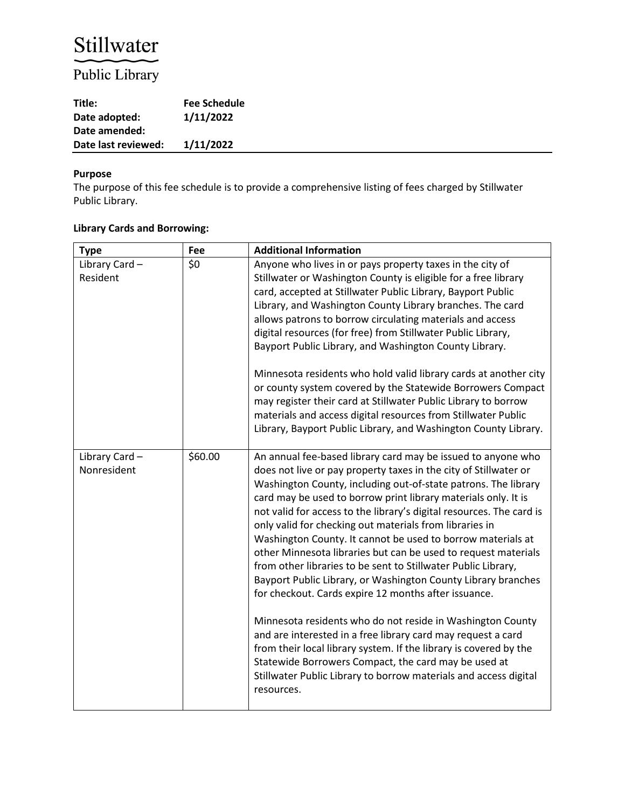# Stillwater

# Public Library

| Title:              | <b>Fee Schedule</b> |
|---------------------|---------------------|
| Date adopted:       | 1/11/2022           |
| Date amended:       |                     |
| Date last reviewed: | 1/11/2022           |

#### **Purpose**

The purpose of this fee schedule is to provide a comprehensive listing of fees charged by Stillwater Public Library.

## **Library Cards and Borrowing:**

| <b>Type</b>                  | Fee     | <b>Additional Information</b>                                                                                                                                                                                                                                                                                                                                                                                                                                                                                                                                                                                                                                                                                                                                                                                                                                                                                                                                                                                                                                                   |
|------------------------------|---------|---------------------------------------------------------------------------------------------------------------------------------------------------------------------------------------------------------------------------------------------------------------------------------------------------------------------------------------------------------------------------------------------------------------------------------------------------------------------------------------------------------------------------------------------------------------------------------------------------------------------------------------------------------------------------------------------------------------------------------------------------------------------------------------------------------------------------------------------------------------------------------------------------------------------------------------------------------------------------------------------------------------------------------------------------------------------------------|
| Library Card-<br>Resident    | \$0     | Anyone who lives in or pays property taxes in the city of<br>Stillwater or Washington County is eligible for a free library<br>card, accepted at Stillwater Public Library, Bayport Public<br>Library, and Washington County Library branches. The card<br>allows patrons to borrow circulating materials and access<br>digital resources (for free) from Stillwater Public Library,<br>Bayport Public Library, and Washington County Library.<br>Minnesota residents who hold valid library cards at another city<br>or county system covered by the Statewide Borrowers Compact<br>may register their card at Stillwater Public Library to borrow<br>materials and access digital resources from Stillwater Public<br>Library, Bayport Public Library, and Washington County Library.                                                                                                                                                                                                                                                                                         |
| Library Card-<br>Nonresident | \$60.00 | An annual fee-based library card may be issued to anyone who<br>does not live or pay property taxes in the city of Stillwater or<br>Washington County, including out-of-state patrons. The library<br>card may be used to borrow print library materials only. It is<br>not valid for access to the library's digital resources. The card is<br>only valid for checking out materials from libraries in<br>Washington County. It cannot be used to borrow materials at<br>other Minnesota libraries but can be used to request materials<br>from other libraries to be sent to Stillwater Public Library,<br>Bayport Public Library, or Washington County Library branches<br>for checkout. Cards expire 12 months after issuance.<br>Minnesota residents who do not reside in Washington County<br>and are interested in a free library card may request a card<br>from their local library system. If the library is covered by the<br>Statewide Borrowers Compact, the card may be used at<br>Stillwater Public Library to borrow materials and access digital<br>resources. |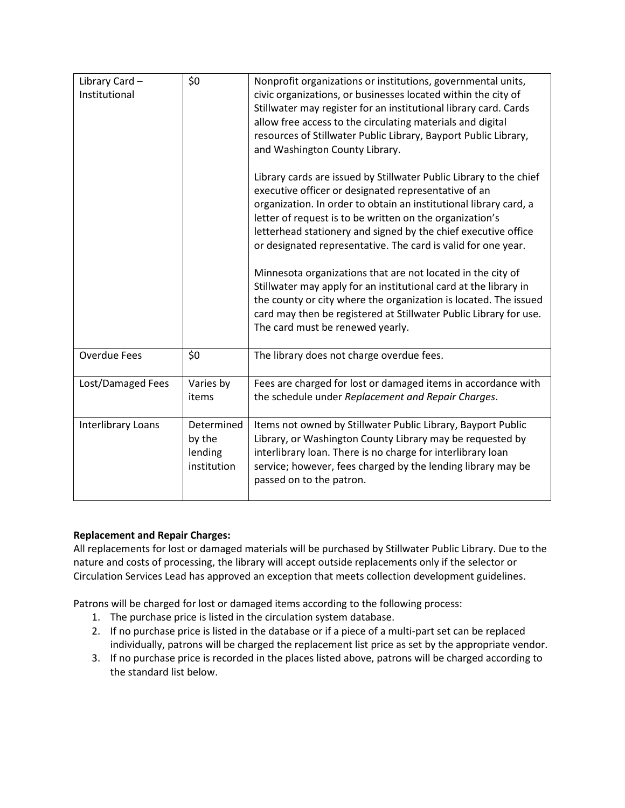| Library Card-<br>Institutional | \$0                                            | Nonprofit organizations or institutions, governmental units,<br>civic organizations, or businesses located within the city of<br>Stillwater may register for an institutional library card. Cards<br>allow free access to the circulating materials and digital<br>resources of Stillwater Public Library, Bayport Public Library,<br>and Washington County Library.<br>Library cards are issued by Stillwater Public Library to the chief<br>executive officer or designated representative of an<br>organization. In order to obtain an institutional library card, a<br>letter of request is to be written on the organization's<br>letterhead stationery and signed by the chief executive office<br>or designated representative. The card is valid for one year.<br>Minnesota organizations that are not located in the city of<br>Stillwater may apply for an institutional card at the library in<br>the county or city where the organization is located. The issued<br>card may then be registered at Stillwater Public Library for use.<br>The card must be renewed yearly. |
|--------------------------------|------------------------------------------------|----------------------------------------------------------------------------------------------------------------------------------------------------------------------------------------------------------------------------------------------------------------------------------------------------------------------------------------------------------------------------------------------------------------------------------------------------------------------------------------------------------------------------------------------------------------------------------------------------------------------------------------------------------------------------------------------------------------------------------------------------------------------------------------------------------------------------------------------------------------------------------------------------------------------------------------------------------------------------------------------------------------------------------------------------------------------------------------|
| <b>Overdue Fees</b>            | \$0                                            | The library does not charge overdue fees.                                                                                                                                                                                                                                                                                                                                                                                                                                                                                                                                                                                                                                                                                                                                                                                                                                                                                                                                                                                                                                              |
| Lost/Damaged Fees              | Varies by                                      | Fees are charged for lost or damaged items in accordance with                                                                                                                                                                                                                                                                                                                                                                                                                                                                                                                                                                                                                                                                                                                                                                                                                                                                                                                                                                                                                          |
|                                | items                                          | the schedule under Replacement and Repair Charges.                                                                                                                                                                                                                                                                                                                                                                                                                                                                                                                                                                                                                                                                                                                                                                                                                                                                                                                                                                                                                                     |
| Interlibrary Loans             | Determined<br>by the<br>lending<br>institution | Items not owned by Stillwater Public Library, Bayport Public<br>Library, or Washington County Library may be requested by<br>interlibrary loan. There is no charge for interlibrary loan<br>service; however, fees charged by the lending library may be<br>passed on to the patron.                                                                                                                                                                                                                                                                                                                                                                                                                                                                                                                                                                                                                                                                                                                                                                                                   |

#### **Replacement and Repair Charges:**

All replacements for lost or damaged materials will be purchased by Stillwater Public Library. Due to the nature and costs of processing, the library will accept outside replacements only if the selector or Circulation Services Lead has approved an exception that meets collection development guidelines.

Patrons will be charged for lost or damaged items according to the following process:

- 1. The purchase price is listed in the circulation system database.
- 2. If no purchase price is listed in the database or if a piece of a multi-part set can be replaced individually, patrons will be charged the replacement list price as set by the appropriate vendor.
- 3. If no purchase price is recorded in the places listed above, patrons will be charged according to the standard list below.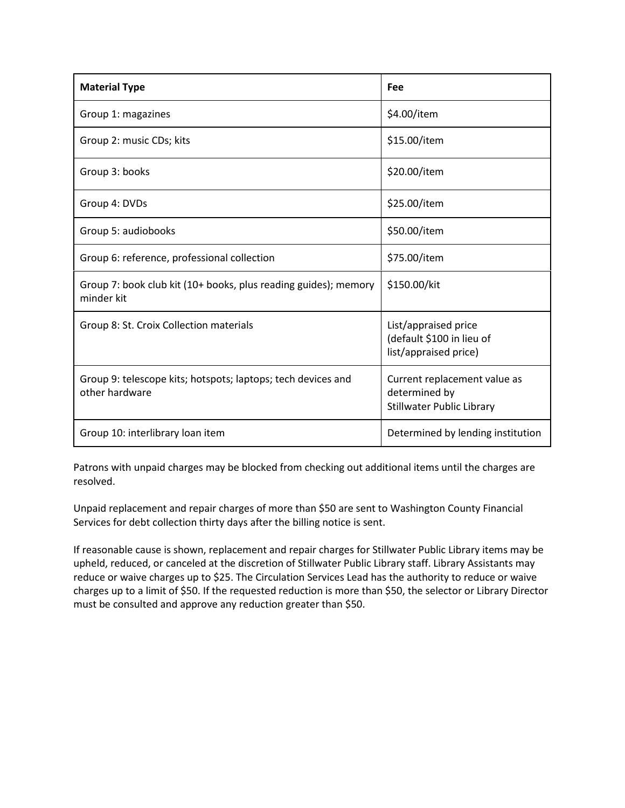| <b>Material Type</b>                                                           | Fee                                                                               |
|--------------------------------------------------------------------------------|-----------------------------------------------------------------------------------|
| Group 1: magazines                                                             | \$4.00/item                                                                       |
| Group 2: music CDs; kits                                                       | \$15.00/item                                                                      |
| Group 3: books                                                                 | \$20.00/item                                                                      |
| Group 4: DVDs                                                                  | \$25.00/item                                                                      |
| Group 5: audiobooks                                                            | \$50.00/item                                                                      |
| Group 6: reference, professional collection                                    | \$75.00/item                                                                      |
| Group 7: book club kit (10+ books, plus reading guides); memory<br>minder kit  | \$150.00/kit                                                                      |
| Group 8: St. Croix Collection materials                                        | List/appraised price<br>(default \$100 in lieu of<br>list/appraised price)        |
| Group 9: telescope kits; hotspots; laptops; tech devices and<br>other hardware | Current replacement value as<br>determined by<br><b>Stillwater Public Library</b> |
| Group 10: interlibrary loan item                                               | Determined by lending institution                                                 |

Patrons with unpaid charges may be blocked from checking out additional items until the charges are resolved.

Unpaid replacement and repair charges of more than \$50 are sent to Washington County Financial Services for debt collection thirty days after the billing notice is sent.

If reasonable cause is shown, replacement and repair charges for Stillwater Public Library items may be upheld, reduced, or canceled at the discretion of Stillwater Public Library staff. Library Assistants may reduce or waive charges up to \$25. The Circulation Services Lead has the authority to reduce or waive charges up to a limit of \$50. If the requested reduction is more than \$50, the selector or Library Director must be consulted and approve any reduction greater than \$50.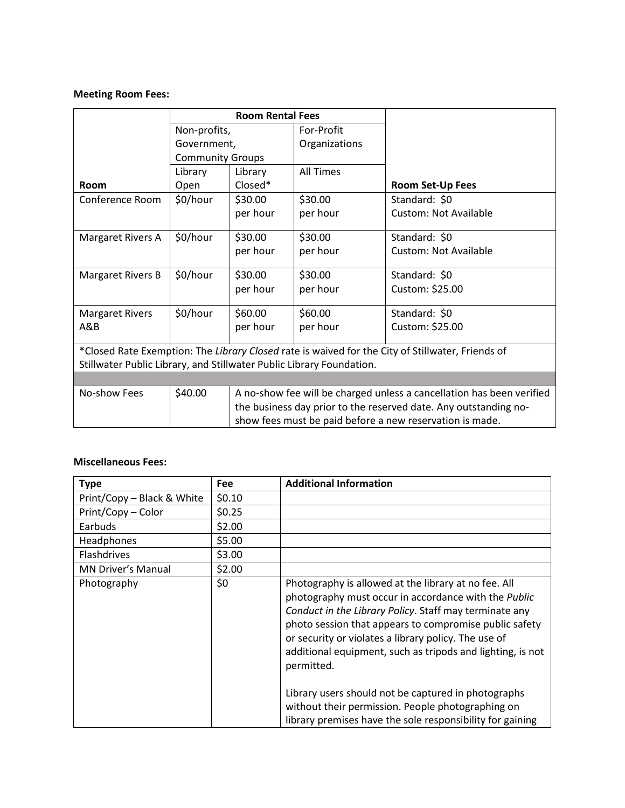## **Meeting Room Fees:**

|                                                                                                  | <b>Room Rental Fees</b> |                                                                       |                  |                              |
|--------------------------------------------------------------------------------------------------|-------------------------|-----------------------------------------------------------------------|------------------|------------------------------|
|                                                                                                  | Non-profits,            |                                                                       | For-Profit       |                              |
|                                                                                                  | Government,             |                                                                       | Organizations    |                              |
|                                                                                                  | <b>Community Groups</b> |                                                                       |                  |                              |
|                                                                                                  | Library                 | Library                                                               | <b>All Times</b> |                              |
| Room                                                                                             | Open                    | Closed*                                                               |                  | <b>Room Set-Up Fees</b>      |
| Conference Room                                                                                  | \$0/hour                | \$30.00                                                               | \$30.00          | Standard: \$0                |
|                                                                                                  |                         | per hour                                                              | per hour         | <b>Custom: Not Available</b> |
| Margaret Rivers A                                                                                | \$0/hour                | \$30.00                                                               | \$30.00          | Standard: \$0                |
|                                                                                                  |                         | per hour                                                              | per hour         | <b>Custom: Not Available</b> |
| <b>Margaret Rivers B</b>                                                                         | \$0/hour                | \$30.00                                                               | \$30.00          | Standard: \$0                |
|                                                                                                  |                         | per hour                                                              | per hour         | Custom: \$25.00              |
| <b>Margaret Rivers</b>                                                                           | \$0/hour                | \$60.00                                                               | \$60.00          | Standard: \$0                |
| A&B                                                                                              |                         | per hour                                                              | per hour         | Custom: \$25.00              |
| *Closed Rate Exemption: The Library Closed rate is waived for the City of Stillwater, Friends of |                         |                                                                       |                  |                              |
| Stillwater Public Library, and Stillwater Public Library Foundation.                             |                         |                                                                       |                  |                              |
|                                                                                                  |                         |                                                                       |                  |                              |
| No-show Fees                                                                                     | \$40.00                 | A no-show fee will be charged unless a cancellation has been verified |                  |                              |
|                                                                                                  |                         | the business day prior to the reserved date. Any outstanding no-      |                  |                              |
|                                                                                                  |                         | show fees must be paid before a new reservation is made.              |                  |                              |

#### **Miscellaneous Fees:**

| Fee    | <b>Additional Information</b>                                                                                                                                                                                                                                                                                                                                                                                                                                                    |
|--------|----------------------------------------------------------------------------------------------------------------------------------------------------------------------------------------------------------------------------------------------------------------------------------------------------------------------------------------------------------------------------------------------------------------------------------------------------------------------------------|
| \$0.10 |                                                                                                                                                                                                                                                                                                                                                                                                                                                                                  |
| \$0.25 |                                                                                                                                                                                                                                                                                                                                                                                                                                                                                  |
| \$2.00 |                                                                                                                                                                                                                                                                                                                                                                                                                                                                                  |
| \$5.00 |                                                                                                                                                                                                                                                                                                                                                                                                                                                                                  |
| \$3.00 |                                                                                                                                                                                                                                                                                                                                                                                                                                                                                  |
| \$2.00 |                                                                                                                                                                                                                                                                                                                                                                                                                                                                                  |
| \$0    | Photography is allowed at the library at no fee. All<br>photography must occur in accordance with the Public<br>Conduct in the Library Policy. Staff may terminate any<br>photo session that appears to compromise public safety<br>or security or violates a library policy. The use of<br>additional equipment, such as tripods and lighting, is not<br>permitted.<br>Library users should not be captured in photographs<br>without their permission. People photographing on |
|        |                                                                                                                                                                                                                                                                                                                                                                                                                                                                                  |